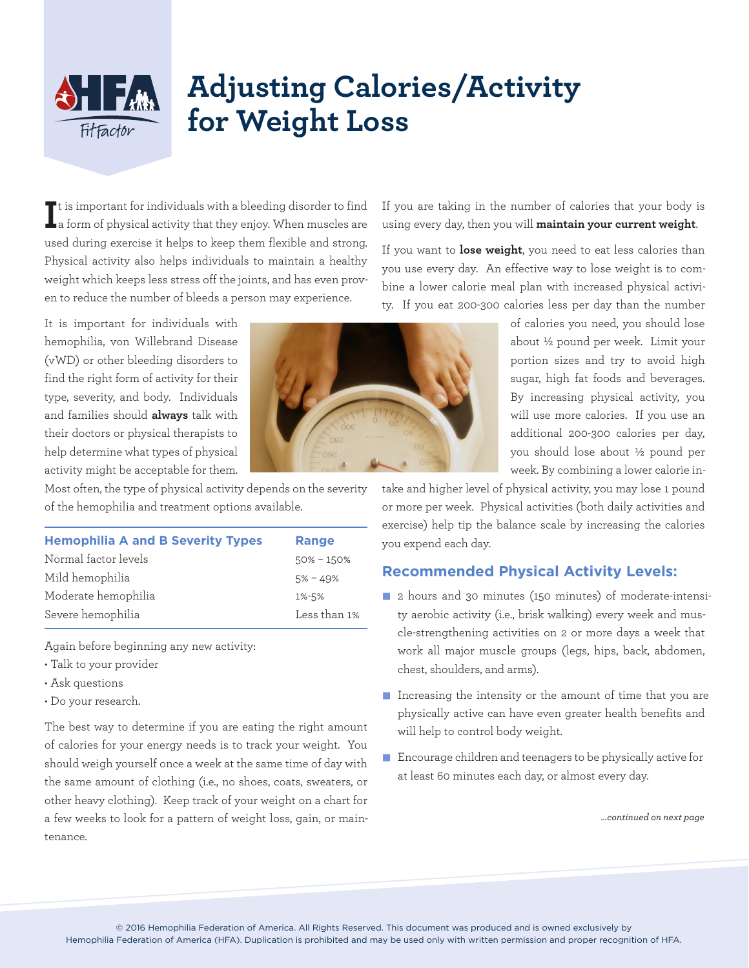## **Adjusting Calories/Activity for Weight Loss**

If is important for individuals with a bleeding disorder to find<br>La form of physical activity that they enjoy. When muscles are t is important for individuals with a bleeding disorder to find used during exercise it helps to keep them flexible and strong. Physical activity also helps individuals to maintain a healthy weight which keeps less stress off the joints, and has even proven to reduce the number of bleeds a person may experience.

It is important for individuals with hemophilia, von Willebrand Disease (vWD) or other bleeding disorders to find the right form of activity for their type, severity, and body. Individuals and families should **always** talk with their doctors or physical therapists to help determine what types of physical activity might be acceptable for them.

Again before beginning any new activity:

• Talk to your provider

• Ask questions • Do your research.

If you are taking in the number of calories that your body is using every day, then you will **maintain your current weight**.

If you want to **lose weight**, you need to eat less calories than you use every day. An effective way to lose weight is to combine a lower calorie meal plan with increased physical activity. If you eat 200-300 calories less per day than the number

> of calories you need, you should lose about ½ pound per week. Limit your portion sizes and try to avoid high sugar, high fat foods and beverages. By increasing physical activity, you will use more calories. If you use an additional 200-300 calories per day, you should lose about ½ pound per week. By combining a lower calorie in-

take and higher level of physical activity, you may lose 1 pound or more per week. Physical activities (both daily activities and exercise) help tip the balance scale by increasing the calories you expend each day.

- 2 hours and 30 minutes (150 minutes) of moderate-intensity aerobic activity (i.e., brisk walking) every week and muscle-strengthening activities on 2 or more days a week that work all major muscle groups (legs, hips, back, abdomen, chest, shoulders, and arms).
- physically active can have even greater health benefits and will help to control body weight.
- $\blacksquare$  Encourage children and teenagers to be physically active for at least 60 minutes each day, or almost every day.

*…continued on next page*

Most often, the type of physical activity depends on the severity of the hemophilia and treatment options available. **Hemophilia A and B Severity Types Range**

## **Recommended Physical Activity Levels:**



The best way to determine if you are eating the right amount of calories for your energy needs is to track your weight. You should weigh yourself once a week at the same time of day with the same amount of clothing (i.e., no shoes, coats, sweaters, or other heavy clothing). Keep track of your weight on a chart for a few weeks to look for a pattern of weight loss, gain, or maintenance.

Normal factor levels 50% – 150% Mild hemophilia 5% – 49% Moderate hemophilia 1%-5%

Hemophilia Federation of America (HFA). Duplication is prohibited and may be used only with written permission and proper recognition of HFA.